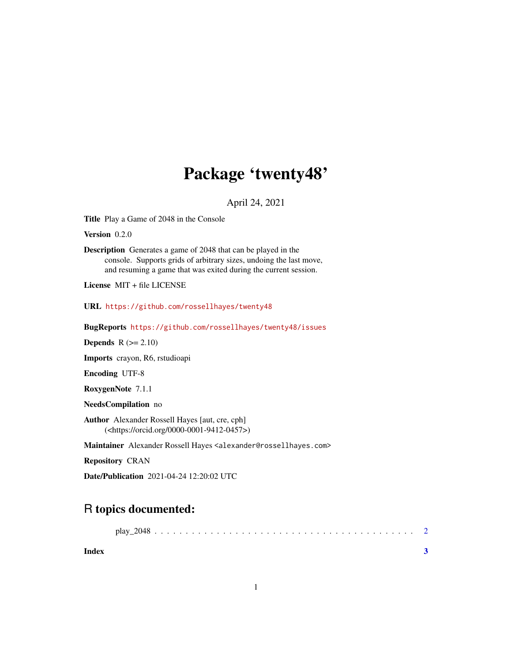## Package 'twenty48'

April 24, 2021

Title Play a Game of 2048 in the Console

Version 0.2.0

Description Generates a game of 2048 that can be played in the console. Supports grids of arbitrary sizes, undoing the last move, and resuming a game that was exited during the current session.

License MIT + file LICENSE

URL <https://github.com/rossellhayes/twenty48>

BugReports <https://github.com/rossellhayes/twenty48/issues>

**Depends**  $R$  ( $>= 2.10$ )

Imports crayon, R6, rstudioapi

Encoding UTF-8

RoxygenNote 7.1.1

NeedsCompilation no

Author Alexander Rossell Hayes [aut, cre, cph] (<https://orcid.org/0000-0001-9412-0457>)

Maintainer Alexander Rossell Hayes <alexander@rossellhayes.com>

Repository CRAN

Date/Publication 2021-04-24 12:20:02 UTC

### R topics documented:

| Index |  |  |  |  |  |  |  |  |  |  |  |  |  |  |  |  |  |
|-------|--|--|--|--|--|--|--|--|--|--|--|--|--|--|--|--|--|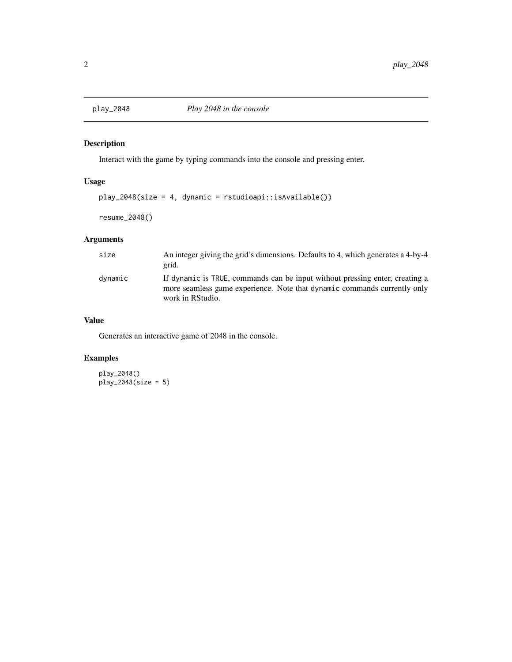<span id="page-1-0"></span>

#### Description

Interact with the game by typing commands into the console and pressing enter.

#### Usage

```
play_2048(size = 4, dynamic = rstudioapi::isAvailable())
```

```
resume_2048()
```
#### Arguments

| size    | An integer giving the grid's dimensions. Defaults to 4, which generates a 4-by-4 |  |  |  |  |  |  |  |  |
|---------|----------------------------------------------------------------------------------|--|--|--|--|--|--|--|--|
|         | grid.                                                                            |  |  |  |  |  |  |  |  |
| dvnamic | If dynamic is TRUE, commands can be input without pressing enter, creating a     |  |  |  |  |  |  |  |  |
|         | more seamless game experience. Note that dynamic commands currently only         |  |  |  |  |  |  |  |  |
|         | work in RStudio.                                                                 |  |  |  |  |  |  |  |  |

#### Value

Generates an interactive game of 2048 in the console.

#### Examples

play\_2048() play\_2048(size = 5)